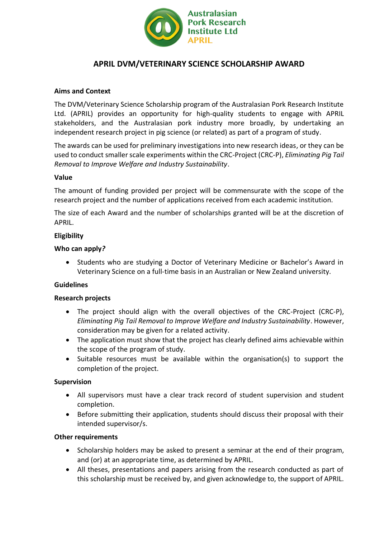

# **APRIL DVM/VETERINARY SCIENCE SCHOLARSHIP AWARD**

## **Aims and Context**

The DVM/Veterinary Science Scholarship program of the Australasian Pork Research Institute Ltd. (APRIL) provides an opportunity for high-quality students to engage with APRIL stakeholders, and the Australasian pork industry more broadly, by undertaking an independent research project in pig science (or related) as part of a program of study.

The awards can be used for preliminary investigations into new research ideas, or they can be used to conduct smaller scale experiments within the CRC-Project (CRC-P), *Eliminating Pig Tail Removal to Improve Welfare and Industry Sustainability*.

## **Value**

The amount of funding provided per project will be commensurate with the scope of the research project and the number of applications received from each academic institution.

The size of each Award and the number of scholarships granted will be at the discretion of APRIL.

## **Eligibility**

#### **Who can apply***?*

• Students who are studying a Doctor of Veterinary Medicine or Bachelor's Award in Veterinary Science on a full-time basis in an Australian or New Zealand university.

## **Guidelines**

## **Research projects**

- The project should align with the overall objectives of the CRC-Project (CRC-P), *Eliminating Pig Tail Removal to Improve Welfare and Industry Sustainability*. However, consideration may be given for a related activity.
- The application must show that the project has clearly defined aims achievable within the scope of the program of study.
- Suitable resources must be available within the organisation(s) to support the completion of the project.

#### **Supervision**

- All supervisors must have a clear track record of student supervision and student completion.
- Before submitting their application, students should discuss their proposal with their intended supervisor/s.

#### **Other requirements**

- Scholarship holders may be asked to present a seminar at the end of their program, and (or) at an appropriate time, as determined by APRIL.
- All theses, presentations and papers arising from the research conducted as part of this scholarship must be received by, and given acknowledge to, the support of APRIL.